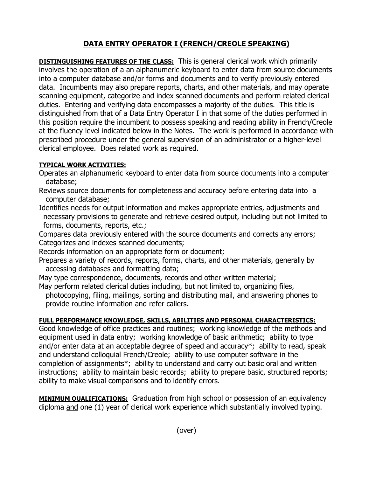## **DATA ENTRY OPERATOR I (FRENCH/CREOLE SPEAKING)**

**DISTINGUISHING FEATURES OF THE CLASS:** This is general clerical work which primarily involves the operation of a an alphanumeric keyboard to enter data from source documents into a computer database and/or forms and documents and to verify previously entered data. Incumbents may also prepare reports, charts, and other materials, and may operate scanning equipment, categorize and index scanned documents and perform related clerical duties. Entering and verifying data encompasses a majority of the duties. This title is distinguished from that of a Data Entry Operator I in that some of the duties performed in this position require the incumbent to possess speaking and reading ability in French/Creole at the fluency level indicated below in the Notes. The work is performed in accordance with prescribed procedure under the general supervision of an administrator or a higher-level clerical employee. Does related work as required.

## **TYPICAL WORK ACTIVITIES:**

- Operates an alphanumeric keyboard to enter data from source documents into a computer database;
- Reviews source documents for completeness and accuracy before entering data into a computer database;
- Identifies needs for output information and makes appropriate entries, adjustments and necessary provisions to generate and retrieve desired output, including but not limited to forms, documents, reports, etc.;

Compares data previously entered with the source documents and corrects any errors; Categorizes and indexes scanned documents;

Records information on an appropriate form or document;

Prepares a variety of records, reports, forms, charts, and other materials, generally by accessing databases and formatting data;

May type correspondence, documents, records and other written material;

May perform related clerical duties including, but not limited to, organizing files, photocopying, filing, mailings, sorting and distributing mail, and answering phones to provide routine information and refer callers.

## **FULL PERFORMANCE KNOWLEDGE, SKILLS, ABILITIES AND PERSONAL CHARACTERISTICS:**

Good knowledge of office practices and routines; working knowledge of the methods and equipment used in data entry; working knowledge of basic arithmetic; ability to type and/or enter data at an acceptable degree of speed and accuracy\*; ability to read, speak and understand colloquial French/Creole; ability to use computer software in the completion of assignments\*; ability to understand and carry out basic oral and written instructions; ability to maintain basic records; ability to prepare basic, structured reports; ability to make visual comparisons and to identify errors.

**MINIMUM QUALIFICATIONS:** Graduation from high school or possession of an equivalency diploma and one (1) year of clerical work experience which substantially involved typing.